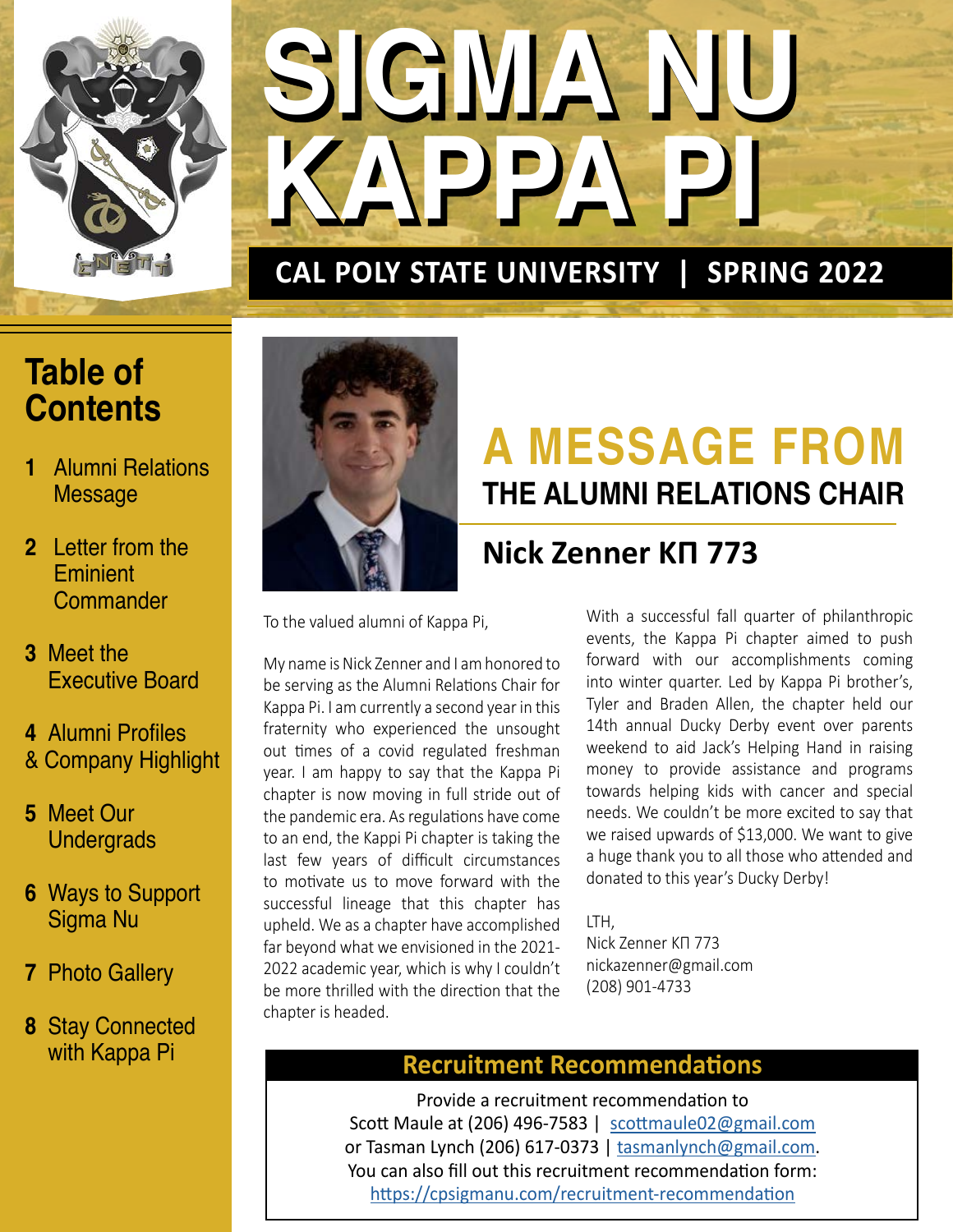

# **SIGMA NU SIGMA NU KAPPA PI KAPPA PI**

## **CAL POLY STATE UNIVERSITY | SPRING 2022**

## **Table of Contents**

- **1** Alumni Relations Message
- **2** Letter from the **Eminient Commander**
- **3** Meet the Executive Board
- **4** Alumni Profiles & Company Highlight
- **5** Meet Our **Undergrads**
- **6** Ways to Support Sigma Nu
- **7** Photo Gallery
- **8** Stay Connected with Kappa Pi



# **A MESSAGE FROM THE ALUMNI RELATIONS CHAIR**

## **Nick Zenner KΠ 773**

To the valued alumni of Kappa Pi,

My name is Nick Zenner and I am honored to be serving as the Alumni Relations Chair for Kappa Pi. I am currently a second year in this fraternity who experienced the unsought out times of a covid regulated freshman year. I am happy to say that the Kappa Pi chapter is now moving in full stride out of the pandemic era. As regulations have come to an end, the Kappi Pi chapter is taking the last few years of difficult circumstances to motivate us to move forward with the successful lineage that this chapter has upheld. We as a chapter have accomplished far beyond what we envisioned in the 2021- 2022 academic year, which is why I couldn't be more thrilled with the direction that the chapter is headed.

With a successful fall quarter of philanthropic events, the Kappa Pi chapter aimed to push forward with our accomplishments coming into winter quarter. Led by Kappa Pi brother's, Tyler and Braden Allen, the chapter held our 14th annual Ducky Derby event over parents weekend to aid Jack's Helping Hand in raising money to provide assistance and programs towards helping kids with cancer and special needs. We couldn't be more excited to say that we raised upwards of \$13,000. We want to give a huge thank you to all those who attended and donated to this year's Ducky Derby!

### LTH,

Nick Zenner KΠ 773 nickazenner@gmail.com (208) 901-4733

## **Recruitment Recommendations**

Provide a recruitment recommendation to Scott Maule at (206) 496-7583 | [scottmaule02@gmail.com](mailto:scottmaule02%40gmail.com?subject=CALPOLY%20Recruitment) or Tasman Lynch (206) 617-0373 | tasmanlynch[@gmail.com](mailto:tasmanlynch%40gmail.com?subject=CALPOLYSN%20Recruitment). You can also fill out this recruitment recommendation form: <https://cpsigmanu.com/recruitment-recommendation>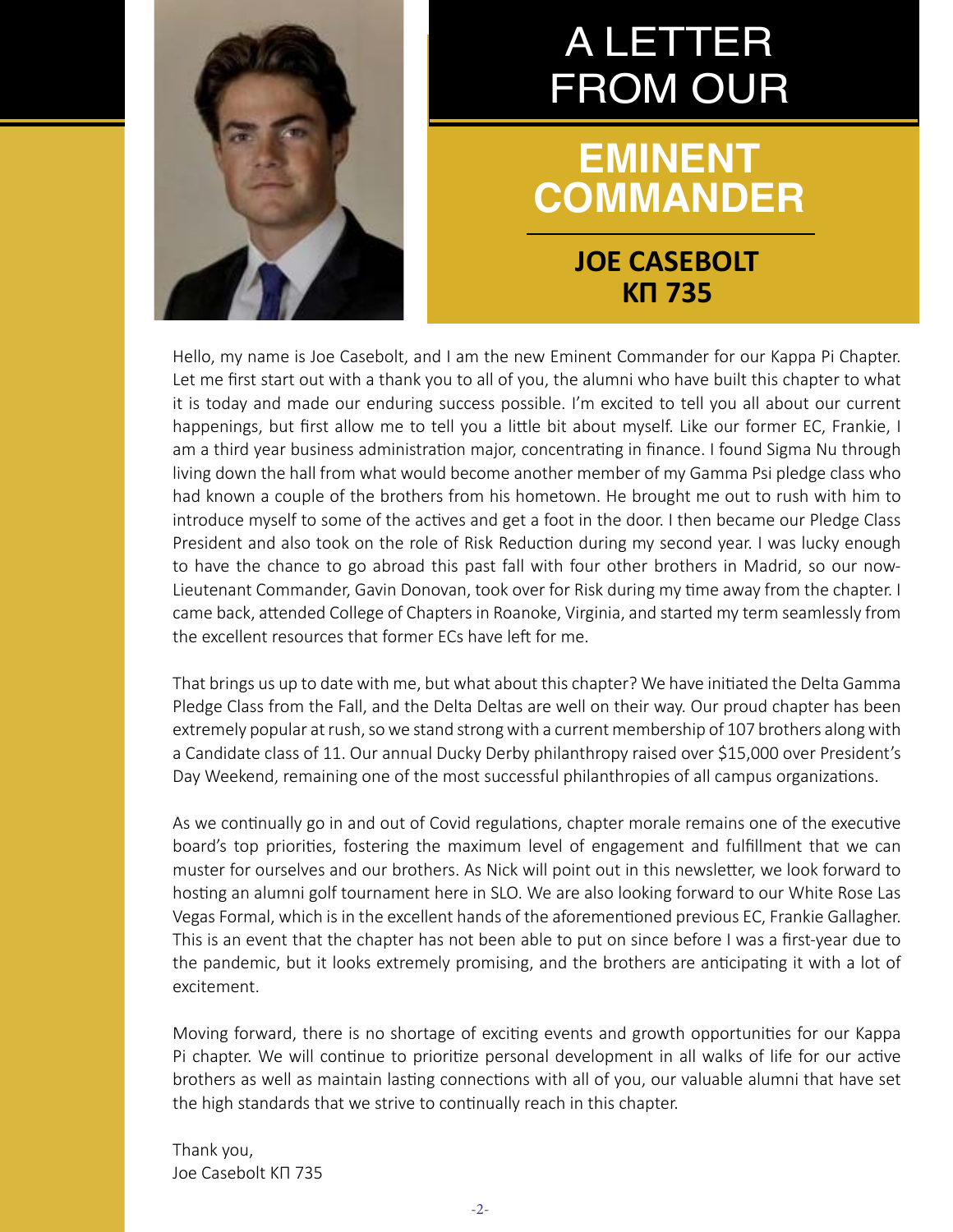

# A LETTER FROM OUR

# **EMINENT COMMANDER**

## **JOE CASEBOLT KΠ 735**

Hello, my name is Joe Casebolt, and I am the new Eminent Commander for our Kappa Pi Chapter. Let me first start out with a thank you to all of you, the alumni who have built this chapter to what it is today and made our enduring success possible. I'm excited to tell you all about our current happenings, but first allow me to tell you a little bit about myself. Like our former EC, Frankie, I am a third year business administration major, concentrating in finance. I found Sigma Nu through living down the hall from what would become another member of my Gamma Psi pledge class who had known a couple of the brothers from his hometown. He brought me out to rush with him to introduce myself to some of the actives and get a foot in the door. I then became our Pledge Class President and also took on the role of Risk Reduction during my second year. I was lucky enough to have the chance to go abroad this past fall with four other brothers in Madrid, so our now-Lieutenant Commander, Gavin Donovan, took over for Risk during my time away from the chapter. I came back, attended College of Chapters in Roanoke, Virginia, and started my term seamlessly from the excellent resources that former ECs have left for me.

That brings us up to date with me, but what about this chapter? We have initiated the Delta Gamma Pledge Class from the Fall, and the Delta Deltas are well on their way. Our proud chapter has been extremely popular at rush, so we stand strong with a current membership of 107 brothers along with a Candidate class of 11. Our annual Ducky Derby philanthropy raised over \$15,000 over President's Day Weekend, remaining one of the most successful philanthropies of all campus organizations.

As we continually go in and out of Covid regulations, chapter morale remains one of the executive board's top priorities, fostering the maximum level of engagement and fulfillment that we can muster for ourselves and our brothers. As Nick will point out in this newsletter, we look forward to hosting an alumni golf tournament here in SLO. We are also looking forward to our White Rose Las Vegas Formal, which is in the excellent hands of the aforementioned previous EC, Frankie Gallagher. This is an event that the chapter has not been able to put on since before I was a first-year due to the pandemic, but it looks extremely promising, and the brothers are anticipating it with a lot of excitement.

Moving forward, there is no shortage of exciting events and growth opportunities for our Kappa Pi chapter. We will continue to prioritize personal development in all walks of life for our active brothers as well as maintain lasting connections with all of you, our valuable alumni that have set the high standards that we strive to continually reach in this chapter.

Thank you, Joe Casebolt KΠ 735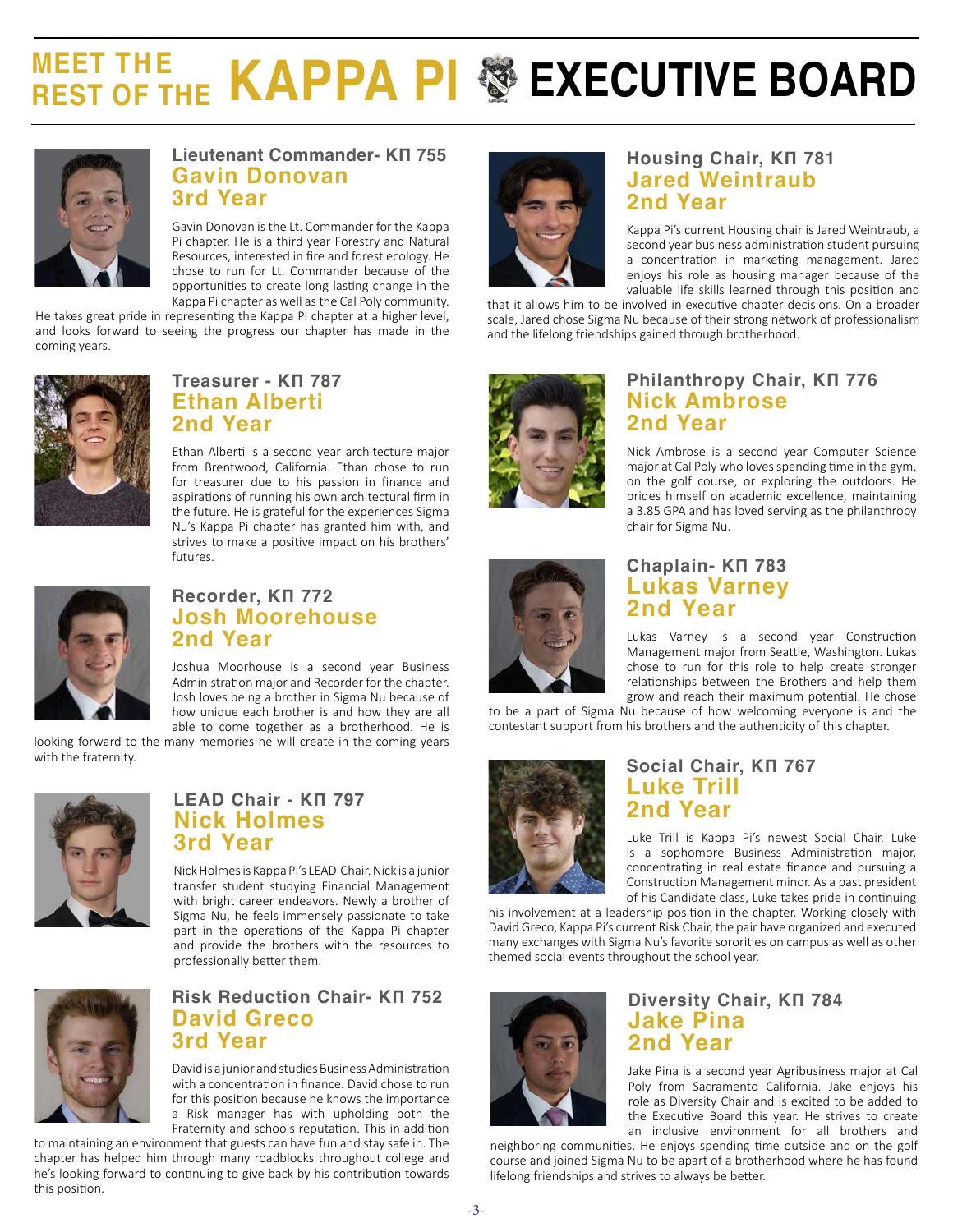# **KAPPA PI SEXECUTIVE BOARD**



#### **Lieutenant Commander- KΠ 755 Gavin Donovan 3rd Year**

Gavin Donovan is the Lt. Commander for the Kappa Pi chapter. He is a third year Forestry and Natural Resources, interested in fire and forest ecology. He chose to run for Lt. Commander because of the opportunities to create long lasting change in the Kappa Pi chapter as well as the Cal Poly community.

He takes great pride in representing the Kappa Pi chapter at a higher level, and looks forward to seeing the progress our chapter has made in the coming years.



#### **Treasurer - KΠ 787 Ethan Alberti 2nd Year**

Ethan Alberti is a second year architecture major from Brentwood, California. Ethan chose to run for treasurer due to his passion in finance and aspirations of running his own architectural firm in the future. He is grateful for the experiences Sigma Nu's Kappa Pi chapter has granted him with, and strives to make a positive impact on his brothers' futures.



#### **Recorder, KΠ 772 Josh Moorehouse 2nd Year**

Joshua Moorhouse is a second year Business Administration major and Recorder for the chapter. Josh loves being a brother in Sigma Nu because of how unique each brother is and how they are all able to come together as a brotherhood. He is

looking forward to the many memories he will create in the coming years with the fraternity.



#### **LEAD Chair - KΠ 797 Nick Holmes 3rd Year**

Nick Holmes is Kappa Pi's LEAD Chair. Nick is a junior transfer student studying Financial Management with bright career endeavors. Newly a brother of Sigma Nu, he feels immensely passionate to take part in the operations of the Kappa Pi chapter and provide the brothers with the resources to professionally better them.



### **Risk Reduction Chair- KΠ 752 David Greco 3rd Year**

David is a junior and studies Business Administration with a concentration in finance. David chose to run for this position because he knows the importance a Risk manager has with upholding both the Fraternity and schools reputation. This in addition

to maintaining an environment that guests can have fun and stay safe in. The chapter has helped him through many roadblocks throughout college and he's looking forward to continuing to give back by his contribution towards this position.



## **Housing Chair, KΠ 781 Jared Weintraub 2nd Year**

Kappa Pi's current Housing chair is Jared Weintraub, a second year business administration student pursuing a concentration in marketing management. Jared enjoys his role as housing manager because of the valuable life skills learned through this position and

that it allows him to be involved in executive chapter decisions. On a broader scale, Jared chose Sigma Nu because of their strong network of professionalism and the lifelong friendships gained through brotherhood.



## **Nick Ambrose 2nd Year** Nick Ambrose is a second year Computer Science

**Philanthropy Chair, KΠ 776**

major at Cal Poly who loves spending time in the gym, on the golf course, or exploring the outdoors. He prides himself on academic excellence, maintaining a 3.85 GPA and has loved serving as the philanthropy chair for Sigma Nu.



## **Chaplain- KΠ 783 Lukas Varney 2nd Year**

Lukas Varney is a second year Construction Management major from Seattle, Washington. Lukas chose to run for this role to help create stronger relationships between the Brothers and help them grow and reach their maximum potential. He chose

to be a part of Sigma Nu because of how welcoming everyone is and the contestant support from his brothers and the authenticity of this chapter.



## **Social Chair, KΠ 767 Luke Trill 2nd Year**

Luke Trill is Kappa Pi's newest Social Chair. Luke is a sophomore Business Administration major, concentrating in real estate finance and pursuing a Construction Management minor. As a past president of his Candidate class, Luke takes pride in continuing

his involvement at a leadership position in the chapter. Working closely with David Greco, Kappa Pi's current Risk Chair, the pair have organized and executed many exchanges with Sigma Nu's favorite sororities on campus as well as other themed social events throughout the school year.



## **Diversity Chair, KΠ 784 Jake Pina 2nd Year**

Jake Pina is a second year Agribusiness major at Cal Poly from Sacramento California. Jake enjoys his role as Diversity Chair and is excited to be added to the Executive Board this year. He strives to create an inclusive environment for all brothers and

neighboring communities. He enjoys spending time outside and on the golf course and joined Sigma Nu to be apart of a brotherhood where he has found lifelong friendships and strives to always be better.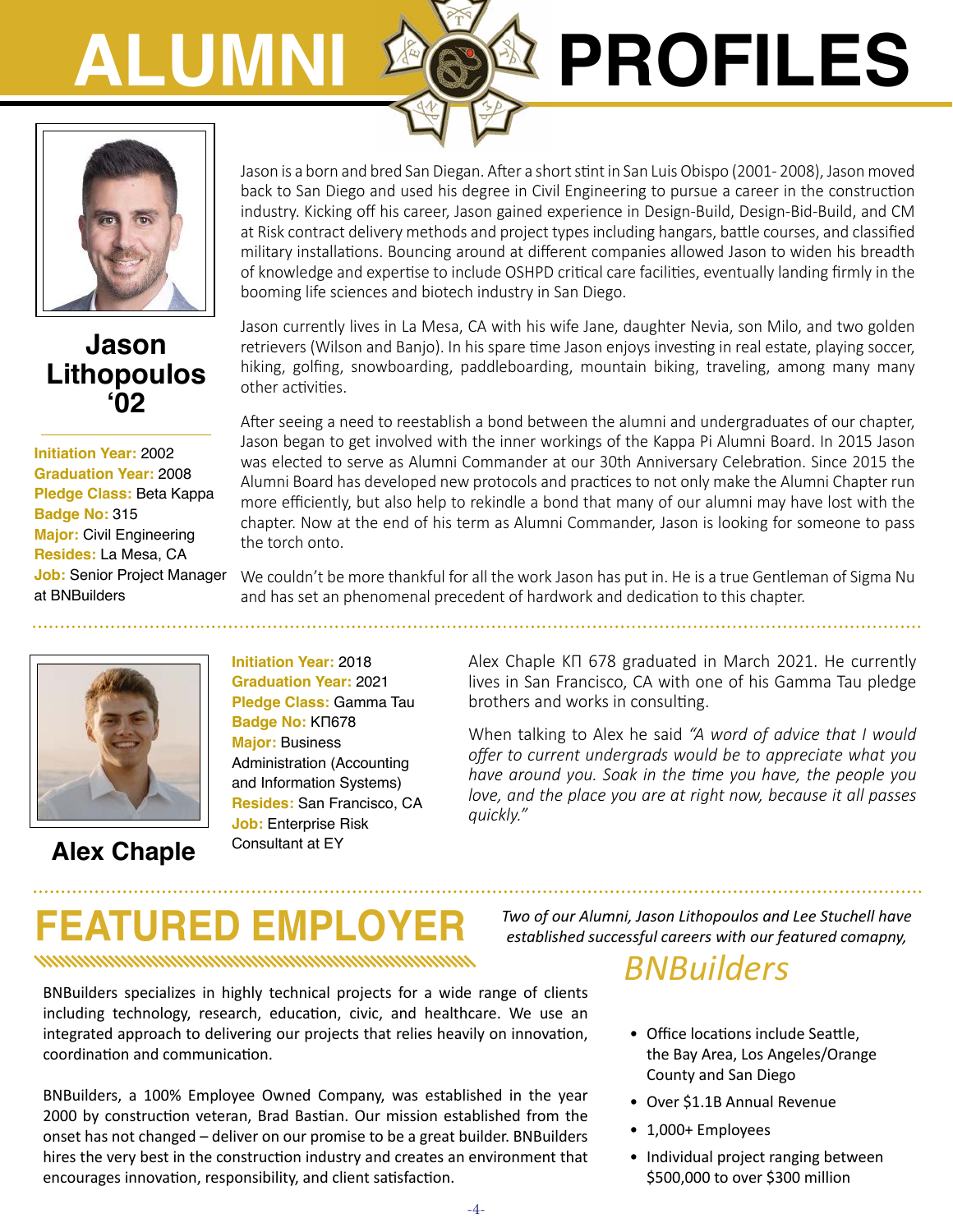# **ALUMNI PROFILES**



## **Jason Lithopoulos '02**

**Initiation Year:** 2002 **Graduation Year:** 2008 **Pledge Class:** Beta Kappa **Badge No:** 315 **Major:** Civil Engineering **Resides:** La Mesa, CA **Job:** Senior Project Manager at BNBuilders



**Alex Chaple**

Jason is a born and bred San Diegan. After a short stint in San Luis Obispo (2001 - 2008), Jason moved back to San Diego and used his degree in Civil Engineering to pursue a career in the construction industry. Kicking off his career, Jason gained experience in Design-Build, Design-Bid-Build, and CM at Risk contract delivery methods and project types including hangars, battle courses, and classified military installations. Bouncing around at different companies allowed Jason to widen his breadth of knowledge and expertise to include OSHPD critical care facilities, eventually landing firmly in the booming life sciences and biotech industry in San Diego.

Jason currently lives in La Mesa, CA with his wife Jane, daughter Nevia, son Milo, and two golden retrievers (Wilson and Banjo). In his spare time Jason enjoys investing in real estate, playing soccer, hiking, golfing, snowboarding, paddleboarding, mountain biking, traveling, among many many other activities.

After seeing a need to reestablish a bond between the alumni and undergraduates of our chapter, Jason began to get involved with the inner workings of the Kappa Pi Alumni Board. In 2015 Jason was elected to serve as Alumni Commander at our 30th Anniversary Celebration. Since 2015 the Alumni Board has developed new protocols and practices to not only make the Alumni Chapter run more efficiently, but also help to rekindle a bond that many of our alumni may have lost with the chapter. Now at the end of his term as Alumni Commander, Jason is looking for someone to pass the torch onto.

We couldn't be more thankful for all the work Jason has put in. He is a true Gentleman of Sigma Nu and has set an phenomenal precedent of hardwork and dedication to this chapter.

**Initiation Year:** 2018 **Graduation Year:** 2021 **Pledge Class:** Gamma Tau **Badge No:** ΚΠ678 **Major:** Business Administration (Accounting and Information Systems) **Resides:** San Francisco, CA **Job:** Enterprise Risk Consultant at EY

Alex Chaple ΚΠ 678 graduated in March 2021. He currently lives in San Francisco, CA with one of his Gamma Tau pledge brothers and works in consulting.

When talking to Alex he said *"A word of advice that I would offer to current undergrads would be to appreciate what you have around you. Soak in the time you have, the people you love, and the place you are at right now, because it all passes quickly."*

# **FEATURED EMPLOYER** *Two of our Alumni, Jason Lithopoulos and Lee Stuchell have*

BNBuilders specializes in highly technical projects for a wide range of clients including technology, research, education, civic, and healthcare. We use an integrated approach to delivering our projects that relies heavily on innovation, coordination and communication.

BNBuilders, a 100% Employee Owned Company, was established in the year 2000 by construction veteran, Brad Bastian. Our mission established from the onset has not changed – deliver on our promise to be a great builder. BNBuilders hires the very best in the construction industry and creates an environment that encourages innovation, responsibility, and client satisfaction.

*established successful careers with our featured comapny,* 

## *BNBuilders*

- Office locations include Seattle, the Bay Area, Los Angeles/Orange County and San Diego
- Over \$1.1B Annual Revenue
- 1,000+ Employees
- Individual project ranging between \$500,000 to over \$300 million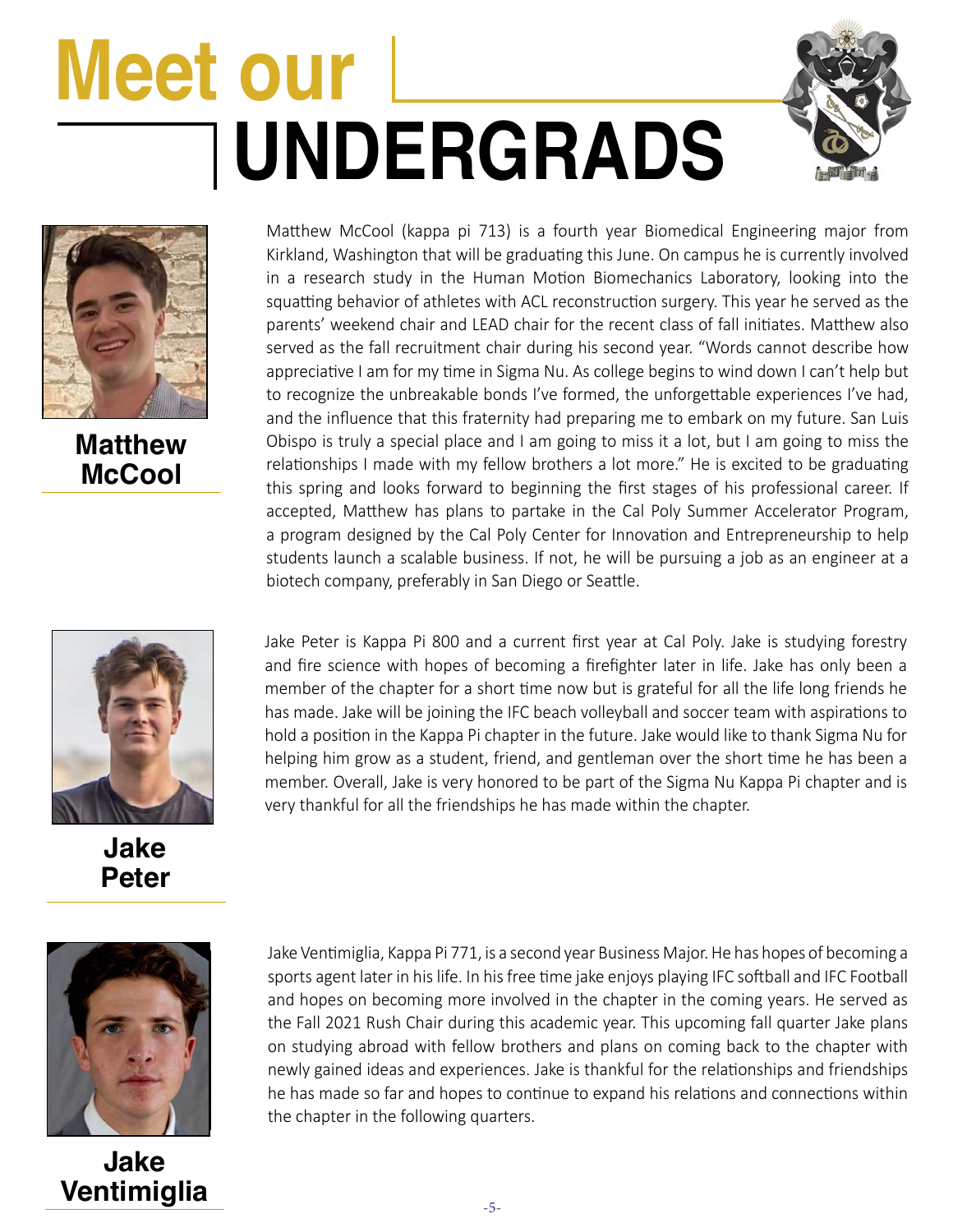# **UNDERGRADS Meet our**





**Matthew McCool**



**Jake Peter** Matthew McCool (kappa pi 713) is a fourth year Biomedical Engineering major from Kirkland, Washington that will be graduating this June. On campus he is currently involved in a research study in the Human Motion Biomechanics Laboratory, looking into the squatting behavior of athletes with ACL reconstruction surgery. This year he served as the parents' weekend chair and LEAD chair for the recent class of fall initiates. Matthew also served as the fall recruitment chair during his second year. "Words cannot describe how appreciative I am for my time in Sigma Nu. As college begins to wind down I can't help but to recognize the unbreakable bonds I've formed, the unforgettable experiences I've had, and the influence that this fraternity had preparing me to embark on my future. San Luis Obispo is truly a special place and I am going to miss it a lot, but I am going to miss the relationships I made with my fellow brothers a lot more." He is excited to be graduating this spring and looks forward to beginning the first stages of his professional career. If accepted, Matthew has plans to partake in the Cal Poly Summer Accelerator Program, a program designed by the Cal Poly Center for Innovation and Entrepreneurship to help students launch a scalable business. If not, he will be pursuing a job as an engineer at a biotech company, preferably in San Diego or Seattle.

Jake Peter is Kappa Pi 800 and a current first year at Cal Poly. Jake is studying forestry and fire science with hopes of becoming a firefighter later in life. Jake has only been a member of the chapter for a short time now but is grateful for all the life long friends he has made. Jake will be joining the IFC beach volleyball and soccer team with aspirations to hold a position in the Kappa Pi chapter in the future. Jake would like to thank Sigma Nu for helping him grow as a student, friend, and gentleman over the short time he has been a member. Overall, Jake is very honored to be part of the Sigma Nu Kappa Pi chapter and is very thankful for all the friendships he has made within the chapter.



**Jake Ventimiglia** Jake Ventimiglia, Kappa Pi 771, is a second year Business Major. He has hopes of becoming a sports agent later in his life. In his free time jake enjoys playing IFC softball and IFC Football and hopes on becoming more involved in the chapter in the coming years. He served as the Fall 2021 Rush Chair during this academic year. This upcoming fall quarter Jake plans on studying abroad with fellow brothers and plans on coming back to the chapter with newly gained ideas and experiences. Jake is thankful for the relationships and friendships he has made so far and hopes to continue to expand his relations and connections within the chapter in the following quarters.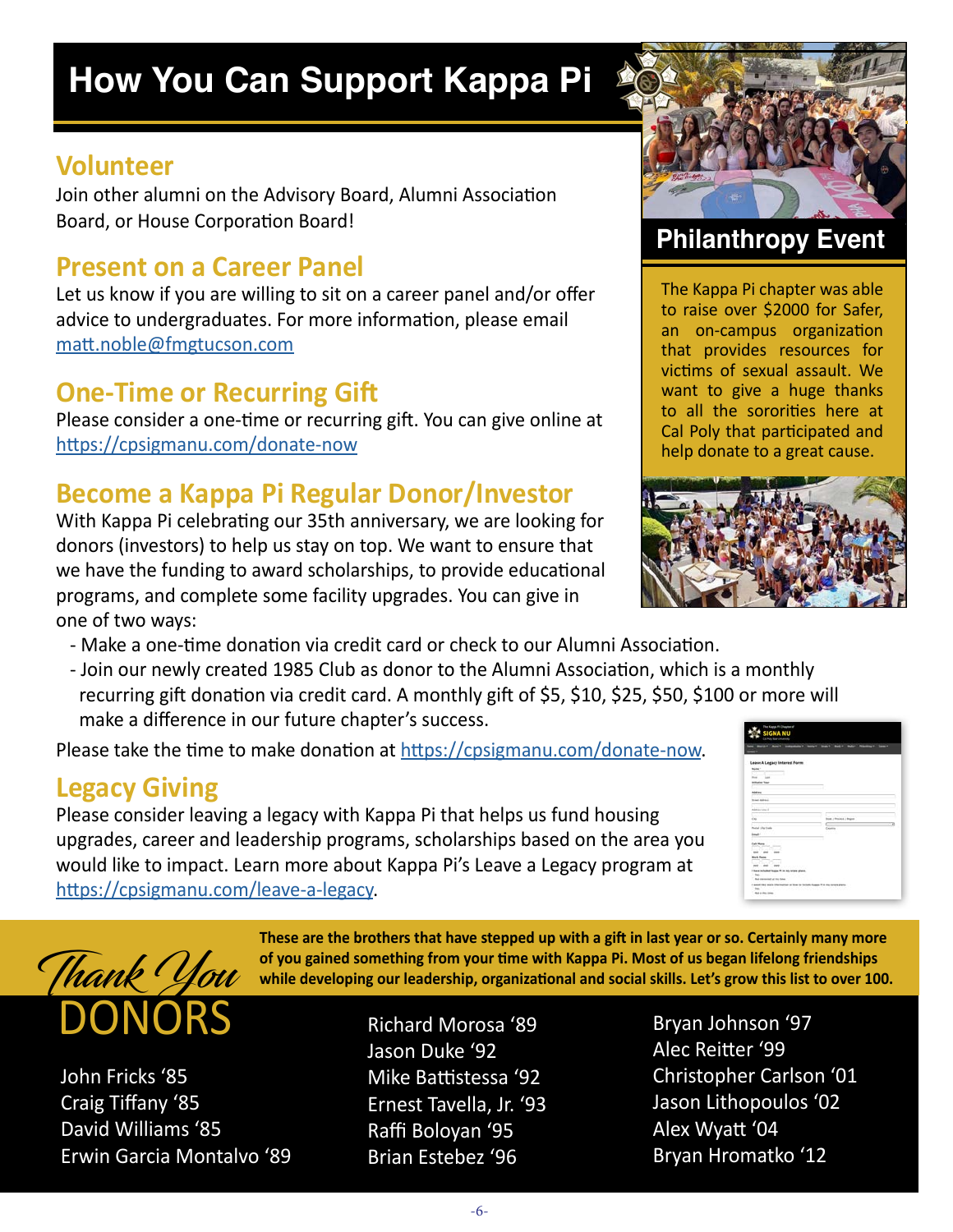# **How You Can Support Kappa Pi**

## **Volunteer**

Join other alumni on the Advisory Board, Alumni Association Board, or House Corporation Board!

## **Present on a Career Panel**

Let us know if you are willing to sit on a career panel and/or offer advice to undergraduates. For more information, please email [matt.noble@fmgtucson.com](mailto:matt.noble%40fmgtucson.com?subject=)

## **One-Time or Recurring Gift**

Please consider a one-time or recurring gift. You can give online at <https://cpsigmanu.com/donate-now>

## **Become a Kappa Pi Regular Donor/Investor**

With Kappa Pi celebrating our 35th anniversary, we are looking for donors (investors) to help us stay on top. We want to ensure that we have the funding to award scholarships, to provide educational programs, and complete some facility upgrades. You can give in one of two ways:



## **Philanthropy Event**

The Kappa Pi chapter was able to raise over \$2000 for Safer, an on-campus organization that provides resources for victims of sexual assault. We want to give a huge thanks to all the sororities here at Cal Poly that participated and help donate to a great cause.



- Make a one-time donation via credit card or check to our Alumni Association.
- Join our newly created 1985 Club as donor to the Alumni Association, which is a monthly recurring gift donation via credit card. A monthly gift of \$5, \$10, \$25, \$50, \$100 or more will make a difference in our future chapter's success.

 $\overline{a}$ Please take the time to make donation at [https://cpsigmanu.com/donate-now.](https://cpsigmanu.com/donate-now)

## **Legacy Giving**

Please consider leaving a legacy with Kappa Pi that helps us fund housing upgrades, career and leadership programs, scholarships based on the area you would like to impact. Learn more about Kappa Pi's Leave a Legacy program at [https://cpsigmanu.com/leave-a-legacy.](https://cpsigmanu.com/leave-a-legacy)

|                                                                             | <b>Service</b>                  |
|-----------------------------------------------------------------------------|---------------------------------|
| Leave A Legacy Interest Form<br><b>Norwich</b><br>u                         |                                 |
| <b>Died</b><br><b>Lest</b><br><b><i>International Value</i></b>             |                                 |
| <b>Address</b>                                                              |                                 |
| <b>Tract Astroni</b>                                                        |                                 |
| Addition Link 2<br>r.<br>cu.                                                | <b>Book / Resident / Beginn</b> |
| $\sim$<br>×<br>Pedal cific trade                                            | v<br>Country                    |
| <b>Tringfield</b>                                                           | 55.70                           |
| all Morre<br>ਹਿਮਹ<br><b>CONTRACTOR</b><br><b>COLOR</b><br>$-$               |                                 |
| <b>Black Phone</b><br>---<br>arthur Barr                                    |                                 |
| part and more<br>PROVINCIA<br>I live a included logica 11 in his terior pix |                                 |
| 1 Belleville<br>the consent of the fire                                     | m in                            |



John Fricks '85 Craig Tiffany '85 David Williams '85 Erwin Garcia Montalvo '89

**These are the brothers that have stepped up with a gift in last year or so. Certainly many more of you gained something from your time with Kappa Pi. Most of us began lifelong friendships while developing our leadership, organizational and social skills. Let's grow this list to over 100.**

- Richard Morosa '89 Jason Duke '92 Mike Battistessa '92 Ernest Tavella, Jr. '93 Raffi Boloyan '95 Brian Estebez '96
- Bryan Johnson '97 Alec Reitter '99 Christopher Carlson '01 Jason Lithopoulos '02 Alex Wyatt '04 Bryan Hromatko '12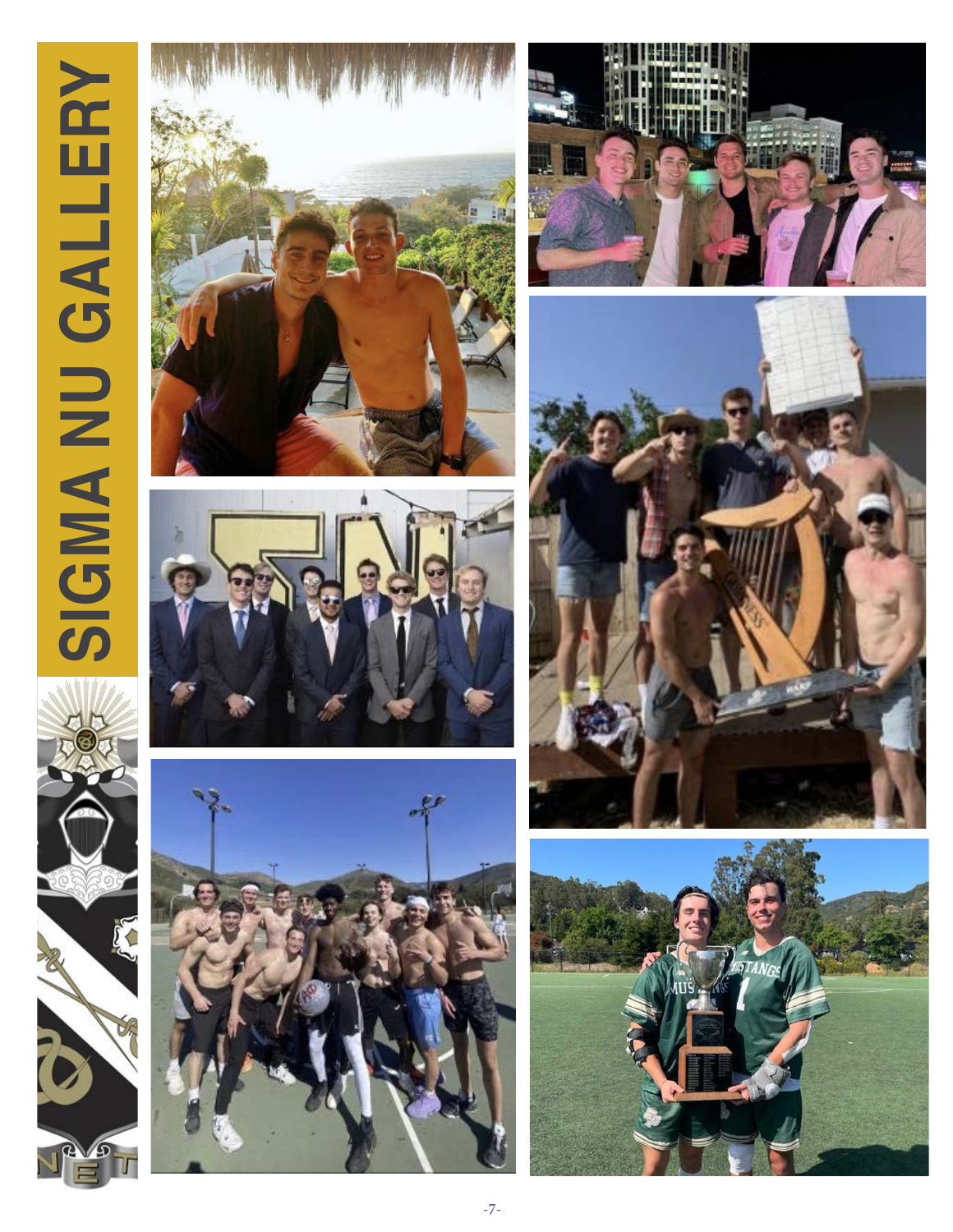# **SIGMA NU GALLERY** SIGMA NU GALLERY